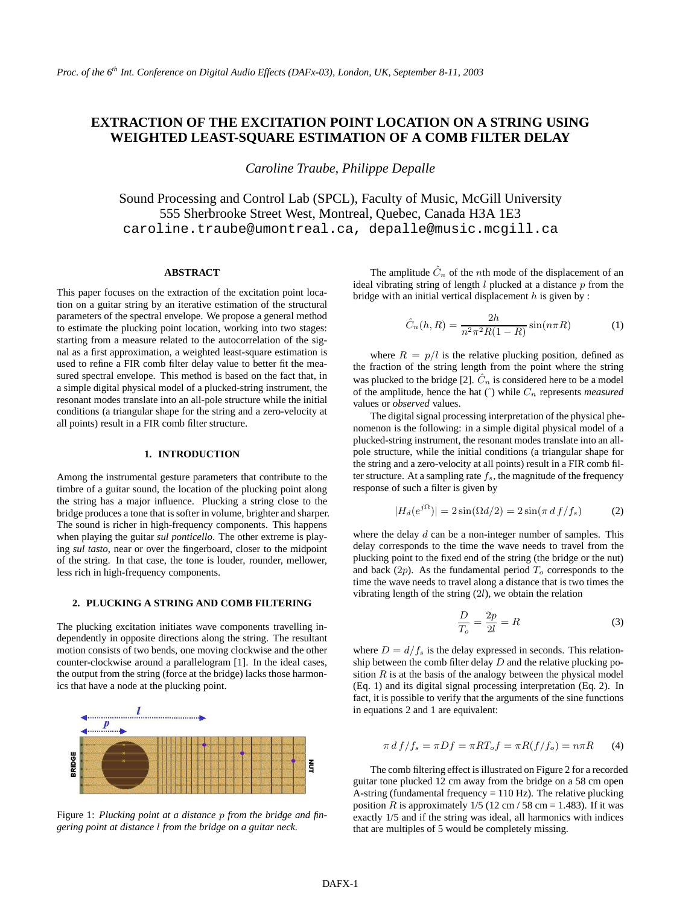# **EXTRACTION OF THE EXCITATION POINT LOCATION ON A STRING USING WEIGHTED LEAST-SQUARE ESTIMATION OF A COMB FILTER DELAY**

*Caroline Traube, Philippe Depalle*

Sound Processing and Control Lab (SPCL), Faculty of Music, McGill University 555 Sherbrooke Street West, Montreal, Quebec, Canada H3A 1E3 caroline.traube@umontreal.ca, depalle@music.mcgill.ca

## **ABSTRACT**

This paper focuses on the extraction of the excitation point location on a guitar string by an iterative estimation of the structural parameters of the spectral envelope. We propose a general method to estimate the plucking point location, working into two stages: starting from a measure related to the autocorrelation of the signal as a first approximation, a weighted least-square estimation is used to refine a FIR comb filter delay value to better fit the measured spectral envelope. This method is based on the fact that, in a simple digital physical model of a plucked-string instrument, the resonant modes translate into an all-pole structure while the initial conditions (a triangular shape for the string and a zero-velocity at all points) result in a FIR comb filter structure.

## **1. INTRODUCTION**

Among the instrumental gesture parameters that contribute to the timbre of a guitar sound, the location of the plucking point along the string has a major influence. Plucking a string close to the bridge produces a tone that is softer in volume, brighter and sharper. The sound is richer in high-frequency components. This happens when playing the guitar *sul ponticello*. The other extreme is playing *sul tasto*, near or over the fingerboard, closer to the midpoint of the string. In that case, the tone is louder, rounder, mellower, less rich in high-frequency components.

#### **2. PLUCKING A STRING AND COMB FILTERING**

The plucking excitation initiates wave components travelling independently in opposite directions along the string. The resultant motion consists of two bends, one moving clockwise and the other counter-clockwise around a parallelogram [1]. In the ideal cases, the output from the string (force at the bridge) lacks those harmonics that have a node at the plucking point.



Figure 1: *Plucking point at a distance* p *from the bridge and fingering point at distance* l *from the bridge on a guitar neck.*

The amplitude  $\hat{C}_n$  of the *n*th mode of the displacement of an ideal vibrating string of length  $l$  plucked at a distance  $p$  from the bridge with an initial vertical displacement  $h$  is given by :

$$
\hat{C}_n(h, R) = \frac{2h}{n^2 \pi^2 R(1 - R)} \sin(n\pi R)
$$
 (1)

where  $R = p/l$  is the relative plucking position, defined as the fraction of the string length from the point where the string was plucked to the bridge [2].  $\hat{C}_n$  is considered here to be a model of the amplitude, hence the hat  $(\hat{\ })$  while  $C_n$  represents *measured* values or *observed* values.

The digital signal processing interpretation of the physical phenomenon is the following: in a simple digital physical model of a plucked-string instrument, the resonant modes translate into an allpole structure, while the initial conditions (a triangular shape for the string and a zero-velocity at all points) result in a FIR comb filter structure. At a sampling rate  $f_s$ , the magnitude of the frequency response of such a filter is given by

$$
|H_d(e^{j\Omega})| = 2\sin(\Omega d/2) = 2\sin(\pi d f/f_s)
$$
 (2)

where the delay  $d$  can be a non-integer number of samples. This delay corresponds to the time the wave needs to travel from the plucking point to the fixed end of the string (the bridge or the nut) and back  $(2p)$ . As the fundamental period  $T<sub>o</sub>$  corresponds to the time the wave needs to travel along a distance that is two times the vibrating length of the string  $(2l)$ , we obtain the relation

$$
\frac{D}{T_o} = \frac{2p}{2l} = R\tag{3}
$$

where  $D = d/f_s$  is the delay expressed in seconds. This relationship between the comb filter delay  $D$  and the relative plucking position  $R$  is at the basis of the analogy between the physical model (Eq. 1) and its digital signal processing interpretation (Eq. 2). In fact, it is possible to verify that the arguments of the sine functions in equations 2 and 1 are equivalent:

$$
\pi \, df/f_s = \pi Df = \pi RT_o f = \pi R(f/f_o) = n\pi R \qquad (4)
$$

The comb filtering effect is illustrated on Figure 2 for a recorded guitar tone plucked 12 cm away from the bridge on a 58 cm open A-string (fundamental frequency  $= 110$  Hz). The relative plucking position R is approximately  $1/5$  (12 cm / 58 cm = 1.483). If it was exactly 1/5 and if the string was ideal, all harmonics with indices that are multiples of 5 would be completely missing.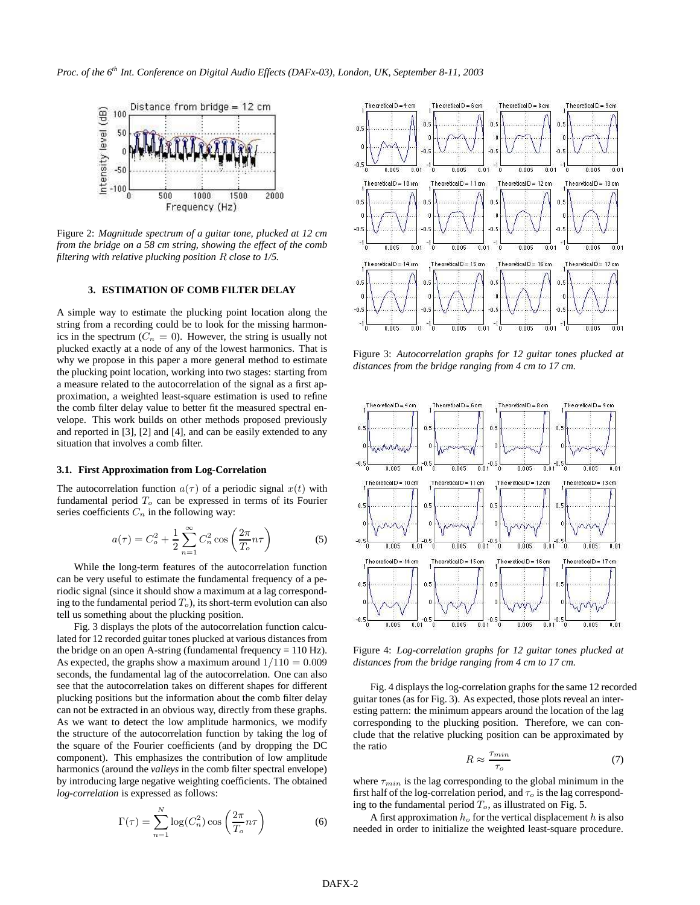

Figure 2: *Magnitude spectrum of a guitar tone, plucked at 12 cm from the bridge on a 58 cm string, showing the effect of the comb filtering with relative plucking position* R *close to 1/5.*

## **3. ESTIMATION OF COMB FILTER DELAY**

A simple way to estimate the plucking point location along the string from a recording could be to look for the missing harmonics in the spectrum ( $C_n = 0$ ). However, the string is usually not plucked exactly at a node of any of the lowest harmonics. That is why we propose in this paper a more general method to estimate the plucking point location, working into two stages: starting from a measure related to the autocorrelation of the signal as a first approximation, a weighted least-square estimation is used to refine the comb filter delay value to better fit the measured spectral envelope. This work builds on other methods proposed previously and reported in [3], [2] and [4], and can be easily extended to any situation that involves a comb filter.

#### **3.1. First Approximation from Log-Correlation**

The autocorrelation function  $a(\tau)$  of a periodic signal  $x(t)$  with fundamental period  $T<sub>o</sub>$  can be expressed in terms of its Fourier series coefficients  $C_n$  in the following way:

$$
a(\tau) = C_o^2 + \frac{1}{2} \sum_{n=1}^{\infty} C_n^2 \cos\left(\frac{2\pi}{T_o} n\tau\right)
$$
 (5)

While the long-term features of the autocorrelation function can be very useful to estimate the fundamental frequency of a periodic signal (since it should show a maximum at a lag corresponding to the fundamental period  $T<sub>o</sub>$ ), its short-term evolution can also tell us something about the plucking position.

Fig. 3 displays the plots of the autocorrelation function calculated for 12 recorded guitar tones plucked at various distances from the bridge on an open A-string (fundamental frequency  $= 110$  Hz). As expected, the graphs show a maximum around  $1/110 = 0.009$ seconds, the fundamental lag of the autocorrelation. One can also see that the autocorrelation takes on different shapes for different plucking positions but the information about the comb filter delay can not be extracted in an obvious way, directly from these graphs. As we want to detect the low amplitude harmonics, we modify the structure of the autocorrelation function by taking the log of the square of the Fourier coefficients (and by dropping the DC component). This emphasizes the contribution of low amplitude harmonics (around the *valleys* in the comb filter spectral envelope) by introducing large negative weighting coefficients. The obtained *log-correlation* is expressed as follows:

$$
\Gamma(\tau) = \sum_{n=1}^{N} \log(C_n^2) \cos\left(\frac{2\pi}{T_o} n\tau\right)
$$
 (6)



Figure 3: *Autocorrelation graphs for 12 guitar tones plucked at distances from the bridge ranging from 4 cm to 17 cm.*



Figure 4: *Log-correlation graphs for 12 guitar tones plucked at distances from the bridge ranging from 4 cm to 17 cm.*

Fig. 4 displays the log-correlation graphs for the same 12 recorded guitar tones (as for Fig. 3). As expected, those plots reveal an interesting pattern: the minimum appears around the location of the lag corresponding to the plucking position. Therefore, we can conclude that the relative plucking position can be approximated by the ratio

$$
R \approx \frac{\tau_{min}}{\tau_o} \tag{7}
$$

where  $\tau_{min}$  is the lag corresponding to the global minimum in the first half of the log-correlation period, and  $\tau_o$  is the lag corresponding to the fundamental period  $T<sub>o</sub>$ , as illustrated on Fig. 5.

A first approximation  $h<sub>o</sub>$  for the vertical displacement h is also needed in order to initialize the weighted least-square procedure.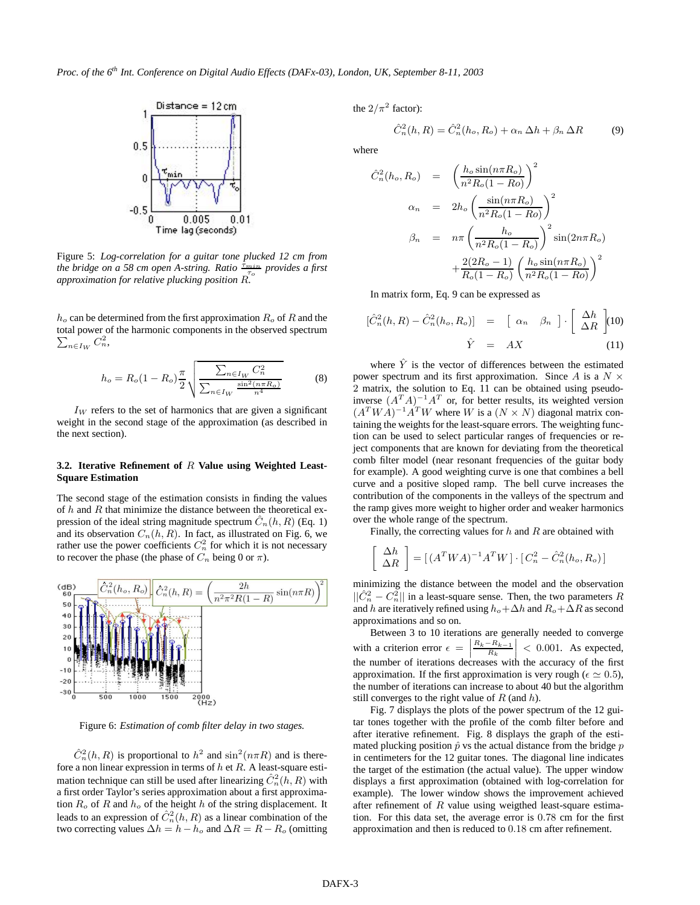

Figure 5: *Log-correlation for a guitar tone plucked 12 cm from the bridge on a 58 cm open A-string. Ratio*  $\frac{\tau_{min}}{\tau_o}$  provides a first *approximation for relative plucking position* R*.*

 $h<sub>o</sub>$  can be determined from the first approximation  $R<sub>o</sub>$  of R and the total power of the harmonic components in the observed spectrum  $\sum_{n \in I_{UV}} C_n^2$ ,  $\sum_{n\in I_W} C_n^2$ 

$$
h_o = R_o (1 - R_o) \frac{\pi}{2} \sqrt{\frac{\sum_{n \in I_W} C_n^2}{\sum_{n \in I_W} \frac{\sin^2(n \pi R_o)}{n^4}}}
$$
(8)

 $I_W$  refers to the set of harmonics that are given a significant weight in the second stage of the approximation (as described in the next section).

## **3.2. Iterative Refinement of** R **Value using Weighted Least-Square Estimation**

The second stage of the estimation consists in finding the values of  $h$  and  $R$  that minimize the distance between the theoretical expression of the ideal string magnitude spectrum  $\ddot{C}_n(h, R)$  (Eq. 1) and its observation  $C_n(h, R)$ . In fact, as illustrated on Fig. 6, we rather use the power coefficients  $C_n^2$  for which it is not necessary to recover the phase (the phase of  $C_n$  being 0 or  $\pi$ ).



Figure 6: *Estimation of comb filter delay in two stages.*

 $\hat{C}_n^2(h,R)$  is proportional to  $h^2$  and  $\sin^2(n\pi R)$  and is therefore a non linear expression in terms of  $h$  et  $R$ . A least-square estimation technique can still be used after linearizing  $\hat{C}_n^2(h, R)$  with a first order Taylor's series approximation about a first approximation  $R_o$  of R and  $h_o$  of the height h of the string displacement. It leads to an expression of  $\hat{C}_n^2(h,R)$  as a linear combination of the two correcting values  $\Delta h = h - h_o$  and  $\Delta R = R - R_o$  (omitting the  $2/\pi^2$  factor):

$$
\hat{C}_n^2(h, R) = \hat{C}_n^2(h_o, R_o) + \alpha_n \Delta h + \beta_n \Delta R \tag{9}
$$

where

$$
\hat{C}_n^2(h_o, R_o) = \left(\frac{h_o \sin(n\pi R_o)}{n^2 R_o (1 - Ro)}\right)^2
$$
  
\n
$$
\alpha_n = 2h_o \left(\frac{\sin(n\pi R_o)}{n^2 R_o (1 - Ro)}\right)^2
$$
  
\n
$$
\beta_n = n\pi \left(\frac{h_o}{n^2 R_o (1 - R_o)}\right)^2 \sin(2n\pi R_o)
$$
  
\n
$$
+ \frac{2(2R_o - 1)}{R_o (1 - R_o)} \left(\frac{h_o \sin(n\pi R_o)}{n^2 R_o (1 - Ro)}\right)^2
$$

In matrix form, Eq. 9 can be expressed as

$$
[\hat{C}_n^2(h, R) - \hat{C}_n^2(h_o, R_o)] = [\alpha_n \quad \beta_n] \cdot [\frac{\Delta h}{\Delta R}]
$$
(10)  

$$
\hat{Y} = AX
$$
(11)

where  $\hat{Y}$  is the vector of differences between the estimated power spectrum and its first approximation. Since A is a  $N \times$ 2 matrix, the solution to Eq. 11 can be obtained using pseudoinverse  $(A^T A)^{-1} A^T$  or, for better results, its weighted version  $(A^TWA)^{-1}A^TW$  where W is a  $(N \times N)$  diagonal matrix containing the weights for the least-square errors. The weighting function can be used to select particular ranges of frequencies or reject components that are known for deviating from the theoretical comb filter model (near resonant frequencies of the guitar body for example). A good weighting curve is one that combines a bell curve and a positive sloped ramp. The bell curve increases the contribution of the components in the valleys of the spectrum and the ramp gives more weight to higher order and weaker harmonics over the whole range of the spectrum.

Finally, the correcting values for  $h$  and  $R$  are obtained with

$$
\left[\begin{array}{c} \Delta h\\ \Delta R \end{array}\right] = \left[ \left( A^T W A \right)^{-1} A^T W \right] \cdot \left[ C_n^2 - \hat{C}_n^2 (h_o, R_o) \right]
$$

minimizing the distance between the model and the observation  $||\hat{C}_n^2 - C_n^2||$  in a least-square sense. Then, the two parameters R and h are iteratively refined using  $h_o + \Delta h$  and  $R_o + \Delta R$  as second approximations and so on.

Between 3 to 10 iterations are generally needed to converge with a criterion error  $\epsilon$  =  $\frac{R_k - R_{k-1}}{R_k}$ the number of iterations decreases with the accuracy of the first  $\left| \frac{R_{k-1}}{R_k} \right|$  < 0.001. As expected, approximation. If the first approximation is very rough ( $\epsilon \simeq 0.5$ ), the number of iterations can increase to about 40 but the algorithm still converges to the right value of  $R$  (and  $h$ ).

Fig. 7 displays the plots of the power spectrum of the 12 guitar tones together with the profile of the comb filter before and after iterative refinement. Fig. 8 displays the graph of the estimated plucking position  $\hat{p}$  vs the actual distance from the bridge  $p$ in centimeters for the 12 guitar tones. The diagonal line indicates the target of the estimation (the actual value). The upper window displays a first approximation (obtained with log-correlation for example). The lower window shows the improvement achieved after refinement of  $R$  value using weigthed least-square estimation. For this data set, the average error is 0.78 cm for the first approximation and then is reduced to 0.18 cm after refinement.